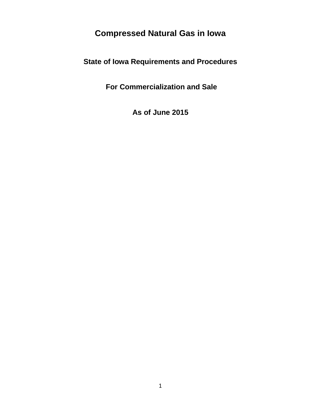# **Compressed Natural Gas in Iowa**

**State of Iowa Requirements and Procedures**

**For Commercialization and Sale**

**As of June 2015**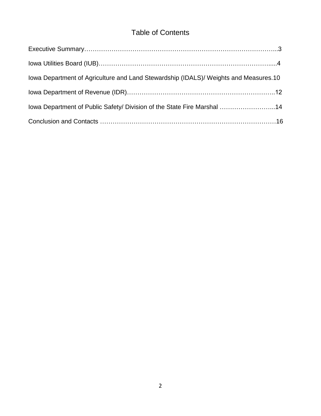# Table of Contents

| lowa Department of Agriculture and Land Stewardship (IDALS)/ Weights and Measures.10 |  |
|--------------------------------------------------------------------------------------|--|
|                                                                                      |  |
| lowa Department of Public Safety/ Division of the State Fire Marshal 14              |  |
|                                                                                      |  |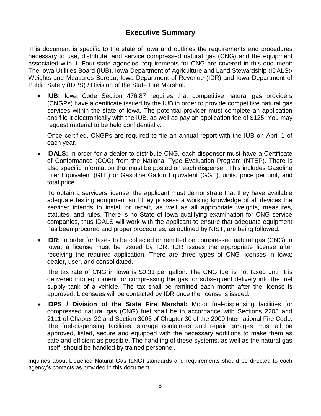# **Executive Summary**

This document is specific to the state of Iowa and outlines the requirements and procedures necessary to use, distribute, and service compressed natural gas (CNG) and the equipment associated with it. Four state agencies' requirements for CNG are covered in this document: The Iowa Utilities Board (IUB), Iowa Department of Agriculture and Land Stewardship (IDALS)/ Weights and Measures Bureau, Iowa Department of Revenue (IDR) and Iowa Department of Public Safety (IDPS) / Division of the State Fire Marshal.

 **IUB:** Iowa Code Section 476.87 requires that competitive natural gas providers (CNGPs) have a certificate issued by the IUB in order to provide competitive natural gas services within the state of Iowa. The potential provider must complete an application and file it electronically with the IUB, as well as pay an application fee of \$125. You may request material to be held confidentially.

Once certified, CNGPs are required to file an annual report with the IUB on April 1 of each year.

 **IDALS:** In order for a dealer to distribute CNG, each dispenser must have a Certificate of Conformance (COC) from the National Type Evaluation Program (NTEP). There is also specific information that must be posted on each dispenser. This includes Gasoline Liter Equivalent (GLE) or Gasoline Gallon Equivalent (GGE), units, price per unit, and total price.

To obtain a servicers license, the applicant must demonstrate that they have available adequate testing equipment and they possess a working knowledge of all devices the servicer intends to install or repair, as well as all appropriate weights, measures, statutes, and rules. There is no State of Iowa qualifying examination for CNG service companies, thus IDALS will work with the applicant to ensure that adequate equipment has been procured and proper procedures, as outlined by NIST, are being followed.

**IDR:** In order for taxes to be collected or remitted on compressed natural gas (CNG) in Iowa, a license must be issued by IDR. IDR issues the appropriate license after receiving the required application. There are three types of CNG licenses in Iowa: dealer, user, and consolidated.

The tax rate of CNG in Iowa is \$0.31 per gallon. The CNG fuel is not taxed until it is delivered into equipment for compressing the gas for subsequent delivery into the fuel supply tank of a vehicle. The tax shall be remitted each month after the license is approved. Licensees will be contacted by IDR once the license is issued.

 **IDPS / Division of the State Fire Marshal:** Motor fuel-dispensing facilities for compressed natural gas (CNG) fuel shall be in accordance with Sections 2208 and 2111 of Chapter 22 and Section 3003 of Chapter 30 of the 2009 International Fire Code. The fuel-dispensing facilities, storage containers and repair garages must all be approved, listed, secure and equipped with the necessary additions to make them as safe and efficient as possible. The handling of these systems, as well as the natural gas itself, should be handled by trained personnel.

Inquiries about Liquefied Natural Gas (LNG) standards and requirements should be directed to each agency's contacts as provided in this document.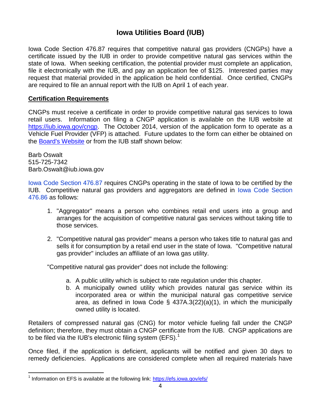# **Iowa Utilities Board (IUB)**

Iowa Code Section 476.87 requires that competitive natural gas providers (CNGPs) have a certificate issued by the IUB in order to provide competitive natural gas services within the state of Iowa. When seeking certification, the potential provider must complete an application, file it electronically with the IUB, and pay an application fee of \$125. Interested parties may request that material provided in the application be held confidential. Once certified, CNGPs are required to file an annual report with the IUB on April 1 of each year.

## **Certification Requirements**

CNGPs must receive a certificate in order to provide competitive natural gas services to Iowa retail users. Information on filing a CNGP application is available on the IUB website at [https://iub.iowa.gov/cngp.](https://iub.iowa.gov/cngp) The October 2014, version of the application form to operate as a Vehicle Fuel Provider (VFP) is attached. Future updates to the form can either be obtained on the [Board's Website](https://iub.iowa.gov/cng) or from the IUB staff shown below:

Barb Oswalt 515-725-7342 Barb.Oswalt@iub.iowa.gov

[Iowa Code Section 476.87](http://search.legis.state.ia.us/NXT/iclink.htm?c=476$s=87$doconly=true) requires CNGPs operating in the state of Iowa to be certified by the IUB. Competitive natural gas providers and aggregators are defined in [Iowa Code Section](http://search.legis.state.ia.us/NXT/iclink.htm?c=476$s=86$doconly=true)  [476.86](http://search.legis.state.ia.us/NXT/iclink.htm?c=476$s=86$doconly=true) as follows:

- 1. "Aggregator" means a person who combines retail end users into a group and arranges for the acquisition of competitive natural gas services without taking title to those services.
- 2. "Competitive natural gas provider" means a person who takes title to natural gas and sells it for consumption by a retail end user in the state of Iowa. "Competitive natural gas provider" includes an affiliate of an Iowa gas utility.

"Competitive natural gas provider" does not include the following:

- a. A public utility which is subject to rate regulation under this chapter.
- b. A municipally owned utility which provides natural gas service within its incorporated area or within the municipal natural gas competitive service area, as defined in Iowa Code § 437A.3(22)(a)(1), in which the municipally owned utility is located.

Retailers of compressed natural gas (CNG) for motor vehicle fueling fall under the CNGP definition; therefore, they must obtain a CNGP certificate from the IUB. CNGP applications are to be filed via the IUB's electronic filing system (EFS).<sup>1</sup>

Once filed, if the application is deficient, applicants will be notified and given 30 days to remedy deficiencies. Applications are considered complete when all required materials have

 $\overline{a}$ <sup>1</sup> Information on EFS is available at the following link:<https://efs.iowa.gov/efs/>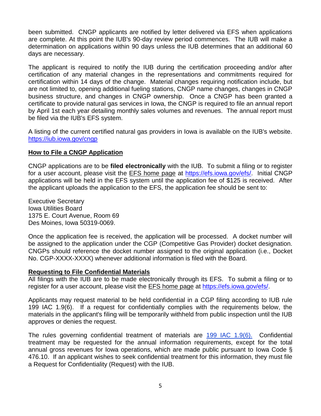been submitted. CNGP applicants are notified by letter delivered via EFS when applications are complete. At this point the IUB's 90-day review period commences. The IUB will make a determination on applications within 90 days unless the IUB determines that an additional 60 days are necessary.

The applicant is required to notify the IUB during the certification proceeding and/or after certification of any material changes in the representations and commitments required for certification within 14 days of the change. Material changes requiring notification include, but are not limited to, opening additional fueling stations, CNGP name changes, changes in CNGP business structure, and changes in CNGP ownership. Once a CNGP has been granted a certificate to provide natural gas services in Iowa, the CNGP is required to file an annual report by April 1st each year detailing monthly sales volumes and revenues. The annual report must be filed via the IUB's EFS system.

A listing of the current certified natural gas providers in Iowa is available on the IUB's website. <https://iub.iowa.gov/cngp>

#### **How to File a CNGP Application**

CNGP applications are to be **filed electronically** with the IUB. To submit a filing or to register for a user account, please visit the [EFS home page](http://efs.iowa.gov/) at [https://efs.iowa.gov/efs/.](https://efs.iowa.gov/efs/) Initial CNGP applications will be held in the EFS system until the application fee of \$125 is received. After the applicant uploads the application to the EFS, the application fee should be sent to:

Executive Secretary Iowa Utilities Board 1375 E. Court Avenue, Room 69 Des Moines, Iowa 50319-0069.

Once the application fee is received, the application will be processed. A docket number will be assigned to the application under the CGP (Competitive Gas Provider) docket designation. CNGPs should reference the docket number assigned to the original application (i.e., Docket No. CGP-XXXX-XXXX) whenever additional information is filed with the Board.

#### **Requesting to File Confidential Materials**

All filings with the IUB are to be made electronically through its EFS. To submit a filing or to register for a user account, please visit the [EFS home page](http://efs.iowa.gov/) at [https://efs.iowa.gov/efs/.](https://efs.iowa.gov/efs/)

Applicants may request material to be held confidential in a CGP filing according to IUB rule 199 IAC 1.9(6). If a request for confidentially complies with the requirements below, the materials in the applicant's filing will be temporarily withheld from public inspection until the IUB approves or denies the request.

The rules governing confidential treatment of materials are [199 IAC 1.9\(6\).](http://search.legis.state.ia.us/NXT/iaclink.htm?a=199$c=1$r=9$doconly=true$format=pdf) Confidential treatment may be requested for the annual information requirements, except for the total annual gross revenues for Iowa operations, which are made public pursuant to [Iowa Code §](http://search.legis.state.ia.us/NXT/iclink.htm?c=476$s=10$doconly=true)  [476.10.](http://search.legis.state.ia.us/NXT/iclink.htm?c=476$s=10$doconly=true) If an applicant wishes to seek confidential treatment for this information, they must file a Request for Confidentiality (Request) with the IUB.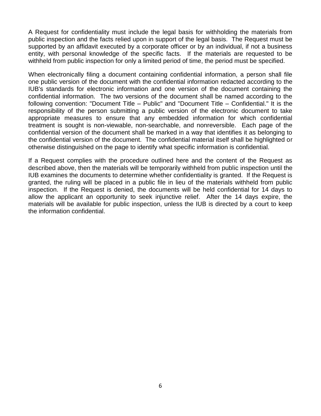A Request for confidentiality must include the legal basis for withholding the materials from public inspection and the facts relied upon in support of the legal basis. The Request must be supported by an affidavit executed by a corporate officer or by an individual, if not a business entity, with personal knowledge of the specific facts. If the materials are requested to be withheld from public inspection for only a limited period of time, the period must be specified.

When electronically filing a document containing confidential information, a person shall file one public version of the document with the confidential information redacted according to the IUB's standards for electronic information and one version of the document containing the confidential information. The two versions of the document shall be named according to the following convention: "Document Title – Public" and "Document Title – Confidential." It is the responsibility of the person submitting a public version of the electronic document to take appropriate measures to ensure that any embedded information for which confidential treatment is sought is non-viewable, non-searchable, and nonreversible. Each page of the confidential version of the document shall be marked in a way that identifies it as belonging to the confidential version of the document. The confidential material itself shall be highlighted or otherwise distinguished on the page to identify what specific information is confidential.

If a Request complies with the procedure outlined here and the content of the Request as described above, then the materials will be temporarily withheld from public inspection until the IUB examines the documents to determine whether confidentiality is granted. If the Request is granted, the ruling will be placed in a public file in lieu of the materials withheld from public inspection. If the Request is denied, the documents will be held confidential for 14 days to allow the applicant an opportunity to seek injunctive relief. After the 14 days expire, the materials will be available for public inspection, unless the IUB is directed by a court to keep the information confidential.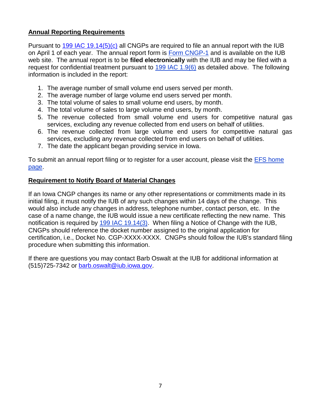# **Annual Reporting Requirements**

Pursuant to  $199$  IAC  $19.14(5)(c)$  all CNGPs are required to file an annual report with the IUB on April 1 of each year. The annual report form is Form CNGP-1 and is available on the IUB web site. The annual report is to be **filed electronically** with the IUB and may be filed with a request for confidential treatment pursuant to [199 IAC 1.9\(6\)](http://search.legis.state.ia.us/NXT/iaclink.htm?a=199$c=1$r=9$doconly=true$format=pdf) as detailed above. The following information is included in the report:

- 1. The average number of small volume end users served per month.
- 2. The average number of large volume end users served per month.
- 3. The total volume of sales to small volume end users, by month.
- 4. The total volume of sales to large volume end users, by month.
- 5. The revenue collected from small volume end users for competitive natural gas services, excluding any revenue collected from end users on behalf of utilities.
- 6. The revenue collected from large volume end users for competitive natural gas services, excluding any revenue collected from end users on behalf of utilities.
- 7. The date the applicant began providing service in Iowa.

To submit an annual report filing or to register for a user account, please visit the [EFS home](http://efs.iowa.gov/)  [page.](http://efs.iowa.gov/)

# **Requirement to Notify Board of Material Changes**

If an Iowa CNGP changes its name or any other representations or commitments made in its initial filing, it must notify the IUB of any such changes within 14 days of the change. This would also include any changes in address, telephone number, contact person, etc. In the case of a name change, the IUB would issue a new certificate reflecting the new name. This notification is required by [199 IAC 19.14\(3\).](http://search.legis.state.ia.us/NXT/iaclink.htm?a=199$c=19$r=14$doconly=true$format=pdf) When filing a Notice of Change with the IUB, CNGPs should reference the docket number assigned to the original application for certification, i.e., Docket No. CGP-XXXX-XXXX. CNGPs should follow the IUB's standard filing procedure when submitting this information.

If there are questions you may contact Barb Oswalt at the IUB for additional information at (515)725-7342 or [barb.oswalt@iub.iowa.gov.](mailto:barb.oswalt@iub.iowa.gov)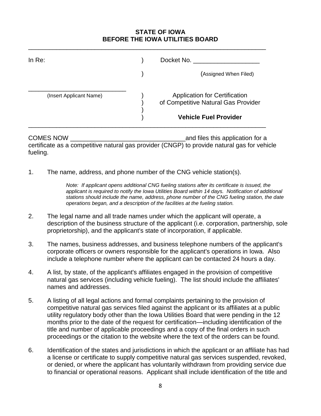# **STATE OF IOWA BEFORE THE IOWA UTILITIES BOARD**

| In Re:                  | Docket No.                                                                                                  |
|-------------------------|-------------------------------------------------------------------------------------------------------------|
|                         | (Assigned When Filed)                                                                                       |
| (Insert Applicant Name) | <b>Application for Certification</b><br>of Competitive Natural Gas Provider<br><b>Vehicle Fuel Provider</b> |

\_\_\_\_\_\_\_\_\_\_\_\_\_\_\_\_\_\_\_\_\_\_\_\_\_\_\_\_\_\_\_\_\_\_\_\_\_\_\_\_\_\_\_\_\_\_\_\_\_\_\_\_\_\_\_\_\_\_\_\_\_\_\_\_\_\_\_\_

COMES NOW \_\_\_\_\_\_\_\_\_\_\_\_\_\_\_\_\_\_\_\_\_\_\_\_\_\_\_\_\_\_\_\_\_and files this application for a certificate as a competitive natural gas provider (CNGP) to provide natural gas for vehicle fueling.

1. The name, address, and phone number of the CNG vehicle station(s).

*Note: If applicant opens additional CNG fueling stations after its certificate is issued, the applicant is required to notify the Iowa Utilities Board within 14 days. Notification of additional stations should include the name, address, phone number of the CNG fueling station, the date operations began, and a description of the facilities at the fueling station.*

- 2. The legal name and all trade names under which the applicant will operate, a description of the business structure of the applicant (i.e. corporation, partnership, sole proprietorship), and the applicant's state of incorporation, if applicable.
- 3. The names, business addresses, and business telephone numbers of the applicant's corporate officers or owners responsible for the applicant's operations in Iowa. Also include a telephone number where the applicant can be contacted 24 hours a day.
- 4. A list, by state, of the applicant's affiliates engaged in the provision of competitive natural gas services (including vehicle fueling). The list should include the affiliates' names and addresses.
- 5. A listing of all legal actions and formal complaints pertaining to the provision of competitive natural gas services filed against the applicant or its affiliates at a public utility regulatory body other than the Iowa Utilities Board that were pending in the 12 months prior to the date of the request for certification—including identification of the title and number of applicable proceedings and a copy of the final orders in such proceedings or the citation to the website where the text of the orders can be found.
- 6. Identification of the states and jurisdictions in which the applicant or an affiliate has had a license or certificate to supply competitive natural gas services suspended, revoked, or denied, or where the applicant has voluntarily withdrawn from providing service due to financial or operational reasons. Applicant shall include identification of the title and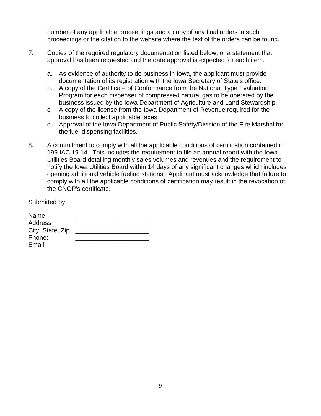number of any applicable proceedings and a copy of any final orders in such proceedings or the citation to the website where the text of the orders can be found.

- 7. Copies of the required regulatory documentation listed below, or a statement that approval has been requested and the date approval is expected for each item.
	- a. As evidence of authority to do business in Iowa, the applicant must provide documentation of its registration with the Iowa Secretary of State's office.
	- b. A copy of the Certificate of Conformance from the National Type Evaluation Program for each dispenser of compressed natural gas to be operated by the business issued by the Iowa Department of Agriculture and Land Stewardship.
	- c. A copy of the license from the Iowa Department of Revenue required for the business to collect applicable taxes.
	- d. Approval of the Iowa Department of Public Safety/Division of the Fire Marshal for the fuel-dispensing facilities.
- 8. A commitment to comply with all the applicable conditions of certification contained in 199 IAC 19.14. This includes the requirement to file an annual report with the Iowa Utilities Board detailing monthly sales volumes and revenues and the requirement to notify the Iowa Utilities Board within 14 days of any significant changes which includes opening additional vehicle fueling stations. Applicant must acknowledge that failure to comply with all the applicable conditions of certification may result in the revocation of the CNGP's certificate.

Submitted by,

| Name             |  |
|------------------|--|
| Address          |  |
| City, State, Zip |  |
| Phone:           |  |
| Email:           |  |
|                  |  |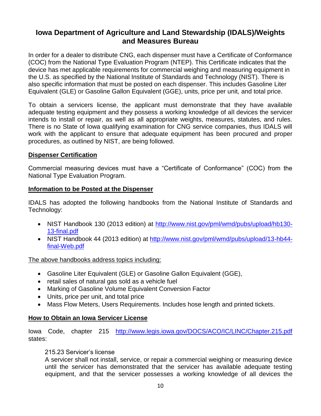# **Iowa Department of Agriculture and Land Stewardship (IDALS)/Weights and Measures Bureau**

In order for a dealer to distribute CNG, each dispenser must have a Certificate of Conformance (COC) from the National Type Evaluation Program (NTEP). This Certificate indicates that the device has met applicable requirements for commercial weighing and measuring equipment in the U.S. as specified by the National Institute of Standards and Technology (NIST). There is also specific information that must be posted on each dispenser. This includes Gasoline Liter Equivalent (GLE) or Gasoline Gallon Equivalent (GGE), units, price per unit, and total price.

To obtain a servicers license, the applicant must demonstrate that they have available adequate testing equipment and they possess a working knowledge of all devices the servicer intends to install or repair, as well as all appropriate weights, measures, statutes, and rules. There is no State of Iowa qualifying examination for CNG service companies, thus IDALS will work with the applicant to ensure that adequate equipment has been procured and proper procedures, as outlined by NIST, are being followed.

# **Dispenser Certification**

Commercial measuring devices must have a "Certificate of Conformance" (COC) from the National Type Evaluation Program.

# **Information to be Posted at the Dispenser**

IDALS has adopted the following handbooks from the National Institute of Standards and Technology:

- NIST Handbook 130 (2013 edition) at [http://www.nist.gov/pml/wmd/pubs/upload/hb130-](http://www.nist.gov/pml/wmd/pubs/upload/hb130-13-final.pdf) [13-final.pdf](http://www.nist.gov/pml/wmd/pubs/upload/hb130-13-final.pdf)
- NIST Handbook 44 (2013 edition) at [http://www.nist.gov/pml/wmd/pubs/upload/13-hb44](http://www.nist.gov/pml/wmd/pubs/upload/13-hb44-final-Web.pdf) [final-Web.pdf](http://www.nist.gov/pml/wmd/pubs/upload/13-hb44-final-Web.pdf)

The above handbooks address topics including:

- Gasoline Liter Equivalent (GLE) or Gasoline Gallon Equivalent (GGE),
- retail sales of natural gas sold as a vehicle fuel
- Marking of Gasoline Volume Equivalent Conversion Factor
- Units, price per unit, and total price
- Mass Flow Meters, Users Requirements. Includes hose length and printed tickets.

# **How to Obtain an Iowa Servicer License**

Iowa Code, chapter 215 <http://www.legis.iowa.gov/DOCS/ACO/IC/LINC/Chapter.215.pdf> states:

## 215.23 Servicer's license

A servicer shall not install, service, or repair a commercial weighing or measuring device until the servicer has demonstrated that the servicer has available adequate testing equipment, and that the servicer possesses a working knowledge of all devices the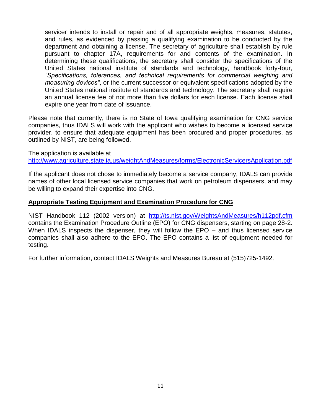servicer intends to install or repair and of all appropriate weights, measures, statutes, and rules, as evidenced by passing a qualifying examination to be conducted by the department and obtaining a license. The secretary of agriculture shall establish by rule pursuant to chapter 17A, requirements for and contents of the examination. In determining these qualifications, the secretary shall consider the specifications of the United States national institute of standards and technology, handbook forty-four, *"Specifications, tolerances, and technical requirements for commercial weighing and measuring devices"*, or the current successor or equivalent specifications adopted by the United States national institute of standards and technology. The secretary shall require an annual license fee of not more than five dollars for each license. Each license shall expire one year from date of issuance.

Please note that currently, there is no State of Iowa qualifying examination for CNG service companies, thus IDALS will work with the applicant who wishes to become a licensed service provider, to ensure that adequate equipment has been procured and proper procedures, as outlined by NIST, are being followed.

The application is available at <http://www.agriculture.state.ia.us/weightAndMeasures/forms/ElectronicServicersApplication.pdf>

If the applicant does not chose to immediately become a service company, IDALS can provide names of other local licensed service companies that work on petroleum dispensers, and may be willing to expand their expertise into CNG.

#### **Appropriate Testing Equipment and Examination Procedure for CNG**

NIST Handbook 112 (2002 version) at <http://ts.nist.gov/WeightsAndMeasures/h112pdf.cfm> contains the Examination Procedure Outline (EPO) for CNG dispensers, starting on page 28-2. When IDALS inspects the dispenser, they will follow the EPO – and thus licensed service companies shall also adhere to the EPO. The EPO contains a list of equipment needed for testing.

For further information, contact IDALS Weights and Measures Bureau at (515)725-1492.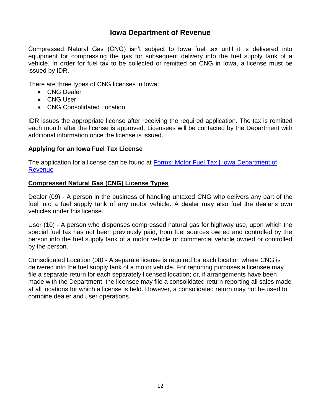# **Iowa Department of Revenue**

Compressed Natural Gas (CNG) isn't subject to Iowa fuel tax until it is delivered into equipment for compressing the gas for subsequent delivery into the fuel supply tank of a vehicle. In order for fuel tax to be collected or remitted on CNG in Iowa, a license must be issued by IDR.

There are three types of CNG licenses in Iowa:

- CNG Dealer
- CNG User
- CNG Consolidated Location

IDR issues the appropriate license after receiving the required application. The tax is remitted each month after the license is approved. Licensees will be contacted by the Department with additional information once the license is issued.

# **Applying for an Iowa Fuel Tax License**

The application for a license can be found at Forms: Motor Fuel Tax | Iowa Department of **[Revenue](https://tax.iowa.gov/form-types/motor-fuel-tax)** 

# **Compressed Natural Gas (CNG) License Types**

Dealer (09) - A person in the business of handling untaxed CNG who delivers any part of the fuel into a fuel supply tank of any motor vehicle. A dealer may also fuel the dealer's own vehicles under this license.

User (10) - A person who dispenses compressed natural gas for highway use, upon which the special fuel tax has not been previously paid, from fuel sources owned and controlled by the person into the fuel supply tank of a motor vehicle or commercial vehicle owned or controlled by the person.

Consolidated Location (08*)* - A separate license is required for each location where CNG is delivered into the fuel supply tank of a motor vehicle. For reporting purposes a licensee may file a separate return for each separately licensed location; or, if arrangements have been made with the Department, the licensee may file a consolidated return reporting all sales made at all locations for which a license is held. However, a consolidated return may not be used to combine dealer and user operations.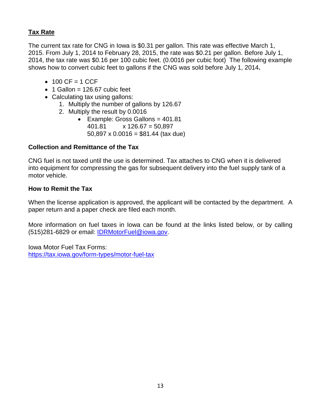# **Tax Rate**

The current tax rate for CNG in Iowa is \$0.31 per gallon. This rate was effective March 1, 2015. From July 1, 2014 to February 28, 2015, the rate was \$0.21 per gallon. Before July 1, 2014, the tax rate was \$0.16 per 100 cubic feet. (0.0016 per cubic foot) The following example shows how to convert cubic feet to gallons if the CNG was sold before July 1, 2014**.**

- $-100 \text{ CF} = 1 \text{ CCF}$
- $\bullet$  1 Gallon = 126.67 cubic feet
- Calculating tax using gallons:
	- 1. Multiply the number of gallons by 126.67
	- 2. Multiply the result by 0.0016
		- Example: Gross Gallons =  $401.81$  $401.81 \times 126.67 = 50.897$ 50,897 x 0.0016 =  $$81.44$  (tax due)

# **Collection and Remittance of the Tax**

CNG fuel is not taxed until the use is determined. Tax attaches to CNG when it is delivered into equipment for compressing the gas for subsequent delivery into the fuel supply tank of a motor vehicle.

# **How to Remit the Tax**

When the license application is approved, the applicant will be contacted by the department. A paper return and a paper check are filed each month.

More information on fuel taxes in Iowa can be found at the links listed below, or by calling (515)281-6829 or email: [IDRMotorFuel@iowa.gov.](mailto:IDRMotorFuel@iowa.gov)

Iowa Motor Fuel Tax Forms: <https://tax.iowa.gov/form-types/motor-fuel-tax>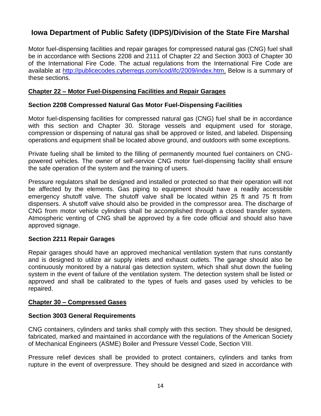# **Iowa Department of Public Safety (IDPS)/Division of the State Fire Marshal**

Motor fuel-dispensing facilities and repair garages for compressed natural gas (CNG) fuel shall be in accordance with Sections 2208 and 2111 of Chapter 22 and Section 3003 of Chapter 30 of the International Fire Code. The actual regulations from the International Fire Code are available at [http://publicecodes.cyberregs.com/icod/ifc/2009/index.htm.](http://publicecodes.cyberregs.com/icod/ifc/2009/index.htm) Below is a summary of these sections.

## **Chapter 22 – Motor Fuel-Dispensing Facilities and Repair Garages**

#### **Section 2208 Compressed Natural Gas Motor Fuel-Dispensing Facilities**

Motor fuel-dispensing facilities for compressed natural gas (CNG) fuel shall be in accordance with this section and Chapter 30. Storage vessels and equipment used for storage, compression or dispensing of natural gas shall be approved or listed, and labeled. Dispensing operations and equipment shall be located above ground, and outdoors with some exceptions.

Private fueling shall be limited to the filling of permanently mounted fuel containers on CNGpowered vehicles. The owner of self-service CNG motor fuel-dispensing facility shall ensure the safe operation of the system and the training of users.

Pressure regulators shall be designed and installed or protected so that their operation will not be affected by the elements. Gas piping to equipment should have a readily accessible emergency shutoff valve. The shutoff valve shall be located within 25 ft and 75 ft from dispensers. A shutoff valve should also be provided in the compressor area. The discharge of CNG from motor vehicle cylinders shall be accomplished through a closed transfer system. Atmospheric venting of CNG shall be approved by a fire code official and should also have approved signage.

## **Section 2211 Repair Garages**

Repair garages should have an approved mechanical ventilation system that runs constantly and is designed to utilize air supply inlets and exhaust outlets. The garage should also be continuously monitored by a natural gas detection system, which shall shut down the fueling system in the event of failure of the ventilation system. The detection system shall be listed or approved and shall be calibrated to the types of fuels and gases used by vehicles to be repaired.

#### **Chapter 30 – Compressed Gases**

#### **Section 3003 General Requirements**

CNG containers, cylinders and tanks shall comply with this section. They should be designed, fabricated, marked and maintained in accordance with the regulations of the American Society of Mechanical Engineers (ASME) Boiler and Pressure Vessel Code, Section VIII.

Pressure relief devices shall be provided to protect containers, cylinders and tanks from rupture in the event of overpressure. They should be designed and sized in accordance with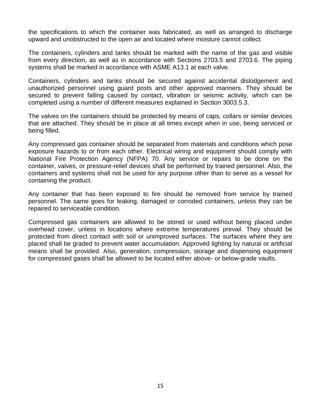the specifications to which the container was fabricated, as well as arranged to discharge upward and unobstructed to the open air and located where moisture cannot collect.

The containers, cylinders and tanks should be marked with the name of the gas and visible from every direction, as well as in accordance with Sections 2703.5 and 2703.6. The piping systems shall be marked in accordance with ASME A13.1 at each valve.

Containers, cylinders and tanks should be secured against accidental dislodgement and unauthorized personnel using guard posts and other approved manners. They should be secured to prevent falling caused by contact, vibration or seismic activity, which can be completed using a number of different measures explained in Section 3003.5.3.

The valves on the containers should be protected by means of caps, collars or similar devices that are attached. They should be in place at all times except when in use, being serviced or being filled.

Any compressed gas container should be separated from materials and conditions which pose exposure hazards to or from each other. Electrical wiring and equipment should comply with National Fire Protection Agency (NFPA) 70. Any service or repairs to be done on the container, valves, or pressure-relief devices shall be performed by trained personnel. Also, the containers and systems shall not be used for any purpose other than to serve as a vessel for containing the product.

Any container that has been exposed to fire should be removed from service by trained personnel. The same goes for leaking, damaged or corroded containers, unless they can be repaired to serviceable condition.

Compressed gas containers are allowed to be stored or used without being placed under overhead cover, unless in locations where extreme temperatures prevail. They should be protected from direct contact with soil or unimproved surfaces. The surfaces where they are placed shall be graded to prevent water accumulation. Approved lighting by natural or artificial means shall be provided. Also, generation, compression, storage and dispensing equipment for compressed gases shall be allowed to be located either above- or below-grade vaults.